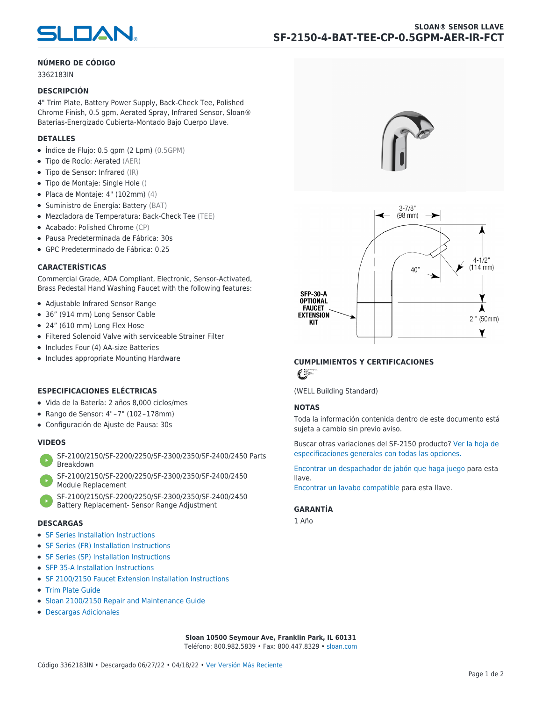

## **NÚMERO DE CÓDIGO**

3362183IN

#### **DESCRIPCIÓN**

4" Trim Plate, Battery Power Supply, Back-Check Tee, Polished Chrome Finish, 0.5 gpm, Aerated Spray, Infrared Sensor, Sloan® Baterías-Energizado Cubierta-Montado Bajo Cuerpo Llave.

## **DETALLES**

- $\bullet$  Índice de Flujo: 0.5 gpm (2 Lpm) (0.5GPM)
- Tipo de Rocío: Aerated (AER)
- Tipo de Sensor: Infrared (IR)
- Tipo de Montaje: Single Hole ()
- $\bullet$  Placa de Montaje: 4" (102mm) (4)
- Suministro de Energía: Battery (BAT)
- Mezcladora de Temperatura: Back-Check Tee (TEE)
- Acabado: Polished Chrome (CP)
- Pausa Predeterminada de Fábrica: 30s
- GPC Predeterminado de Fábrica: 0.25

## **CARACTERÍSTICAS**

Commercial Grade, ADA Compliant, Electronic, Sensor-Activated, Brass Pedestal Hand Washing Faucet with the following features:

- Adjustable Infrared Sensor Range
- 36" (914 mm) Long Sensor Cable
- 24" (610 mm) Long Flex Hose
- Filtered Solenoid Valve with serviceable Strainer Filter
- Includes Four (4) AA-size Batteries
- Includes appropriate Mounting Hardware

# **ESPECIFICACIONES ELÉCTRICAS**

- Vida de la Batería: 2 años 8,000 ciclos/mes
- Rango de Sensor: 4" – 7" (102 – 178mm)
- Configuración de Ajuste de Pausa: 30s

# **VIDEOS**

- [SF-2100/2150/SF-2200/2250/SF-2300/2350/SF-2400/2450 Parts](https://vimeo.com/307089947) [Breakdown](https://vimeo.com/307089947)
- [SF-2100/2150/SF-2200/2250/SF-2300/2350/SF-2400/2450](https://vimeo.com/307087494) [Module Replacement](https://vimeo.com/307087494)
- [SF-2100/2150/SF-2200/2250/SF-2300/2350/SF-2400/2450](https://vimeo.com/307085279) [Battery Replacement- Sensor Range Adjustment](https://vimeo.com/307085279)

#### **DESCARGAS**

- [SF Series Installation Instructions](https://www.sloan.com/sites/default/files/2018-02/II0816496Rev5_0.pdf)
- [SF Series \(FR\) Installation Instructions](https://www.sloan.com/sites/default/files/2015-12/0816563-fr.pdf)
- [SF Series \(SP\) Installation Instructions](https://www.sloan.com/sites/default/files/2022-03/0816568SP_Rev2.pdf)
- [SFP 35-A Installation Instructions](https://www.sloan.com/sites/default/files/2015-12/0816817.pdf)
- [SF 2100/2150 Faucet Extension Installation Instructions](https://www.sloan.com/sites/default/files/2015-12/0816736.pdf)
- [Trim Plate Guide](https://www.sloan.com/sites/default/files/2020-03/Trim_PlatesAllFaucets.pdf)
- [Sloan 2100/2150 Repair and Maintenance Guide](https://www.sloan.com/sites/default/files/2022-06/Sloan-SF-2100-2150.pdf)
- [Descargas Adicionales](https://www.sloan.com/commercial-bathroom-products/faucets/sloan/sf-2150)





# **CUMPLIMIENTOS Y CERTIFICACIONES**

 $\epsilon$ 

(WELL Building Standard)

# **NOTAS**

Toda la información contenida dentro de este documento está sujeta a cambio sin previo aviso.

[Buscar otras variaciones del SF-2150 producto? Ver la hoja de](https://www.sloan.com/es/general-spec/436) [especificaciones generales con todas las opciones.](https://www.sloan.com/es/general-spec/436)

[Encontrar un despachador de jabón que haga juego](https://www.sloan.com/es/commercial-bathroom-products/soap-dispensers) para esta llave.

[Encontrar un lavabo compatible](https://www.sloan.com/es/commercial-bathroom-products/sinks) para esta llave.

## **GARANTÍA**

1 Año

**Sloan 10500 Seymour Ave, Franklin Park, IL 60131** Teléfono: 800.982.5839 • Fax: 800.447.8329 • [sloan.com](https://www.sloan.com)